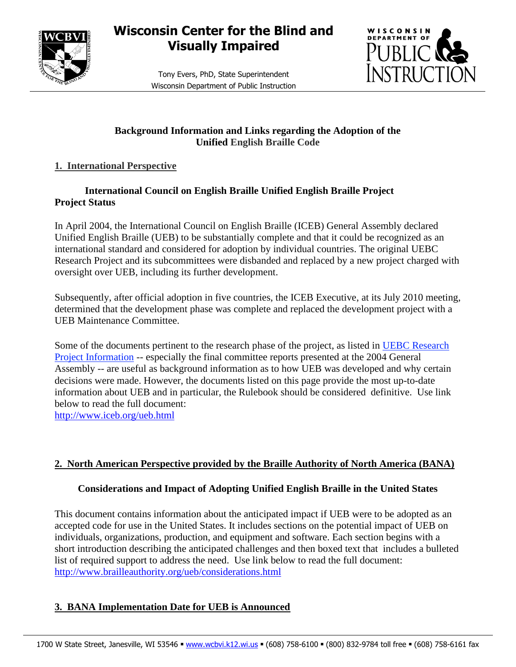

# **Wisconsin Center for the Blind and Visually Impaired**

Tony Evers, PhD, State Superintendent Wisconsin Department of Public Instruction



### **Background Information and Links regarding the Adoption of the Unified English Braille Code**

## **1. International Perspective**

### **International Council on English Braille Unified English Braille Project Project Status**

In April 2004, the International Council on English Braille (ICEB) General Assembly declared Unified English Braille (UEB) to be substantially complete and that it could be recognized as an international standard and considered for adoption by individual countries. The original UEBC Research Project and its subcommittees were disbanded and replaced by a new project charged with oversight over UEB, including its further development.

Subsequently, after official adoption in five countries, the ICEB Executive, at its July 2010 meeting, determined that the development phase was complete and replaced the development project with a UEB Maintenance Committee.

Some of the documents pertinent to the research phase of the project, as listed in [UEBC Research](http://www.iceb.org/ubc.html)  [Project Information](http://www.iceb.org/ubc.html) -- especially the final committee reports presented at the 2004 General Assembly -- are useful as background information as to how UEB was developed and why certain decisions were made. However, the documents listed on this page provide the most up-to-date information about UEB and in particular, the Rulebook should be considered definitive. Use link below to read the full document:

<http://www.iceb.org/ueb.html>

# **2. North American Perspective provided by the Braille Authority of North America (BANA)**

### **Considerations and Impact of Adopting Unified English Braille in the United States**

This document contains information about the anticipated impact if UEB were to be adopted as an accepted code for use in the United States. It includes sections on the potential impact of UEB on individuals, organizations, production, and equipment and software. Each section begins with a short introduction describing the anticipated challenges and then boxed text that includes a bulleted list of required support to address the need. Use link below to read the full document: <http://www.brailleauthority.org/ueb/considerations.html>

# **3. BANA Implementation Date for UEB is Announced**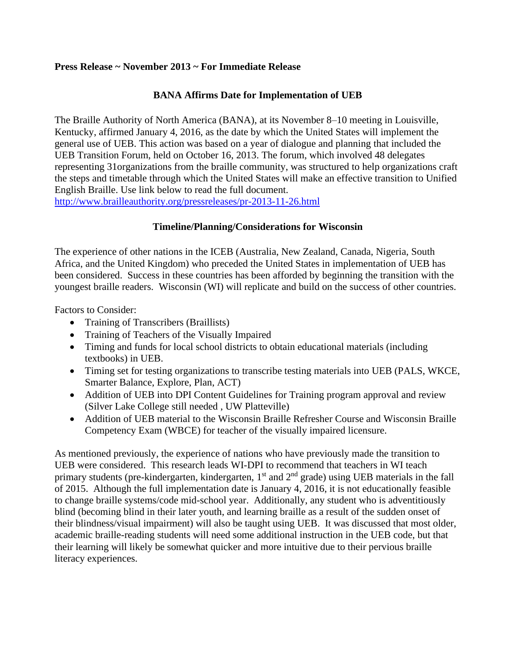#### **Press Release ~ November 2013 ~ For Immediate Release**

### **BANA Affirms Date for Implementation of UEB**

The Braille Authority of North America (BANA), at its November 8–10 meeting in Louisville, Kentucky, affirmed January 4, 2016, as the date by which the United States will implement the general use of UEB. This action was based on a year of dialogue and planning that included the UEB Transition Forum, held on October 16, 2013. The forum, which involved 48 delegates representing 31organizations from the braille community, was structured to help organizations craft the steps and timetable through which the United States will make an effective transition to Unified English Braille. Use link below to read the full document.

<http://www.brailleauthority.org/pressreleases/pr-2013-11-26.html>

#### **Timeline/Planning/Considerations for Wisconsin**

The experience of other nations in the ICEB (Australia, New Zealand, Canada, Nigeria, South Africa, and the United Kingdom) who preceded the United States in implementation of UEB has been considered. Success in these countries has been afforded by beginning the transition with the youngest braille readers. Wisconsin (WI) will replicate and build on the success of other countries.

Factors to Consider:

- Training of Transcribers (Braillists)
- Training of Teachers of the Visually Impaired
- Timing and funds for local school districts to obtain educational materials (including textbooks) in UEB.
- Timing set for testing organizations to transcribe testing materials into UEB (PALS, WKCE, Smarter Balance, Explore, Plan, ACT)
- Addition of UEB into DPI Content Guidelines for Training program approval and review (Silver Lake College still needed , UW Platteville)
- Addition of UEB material to the Wisconsin Braille Refresher Course and Wisconsin Braille Competency Exam (WBCE) for teacher of the visually impaired licensure.

As mentioned previously, the experience of nations who have previously made the transition to UEB were considered. This research leads WI-DPI to recommend that teachers in WI teach primary students (pre-kindergarten, kindergarten,  $1<sup>st</sup>$  and  $2<sup>nd</sup>$  grade) using UEB materials in the fall of 2015. Although the full implementation date is January 4, 2016, it is not educationally feasible to change braille systems/code mid-school year. Additionally, any student who is adventitiously blind (becoming blind in their later youth, and learning braille as a result of the sudden onset of their blindness/visual impairment) will also be taught using UEB. It was discussed that most older, academic braille-reading students will need some additional instruction in the UEB code, but that their learning will likely be somewhat quicker and more intuitive due to their pervious braille literacy experiences.